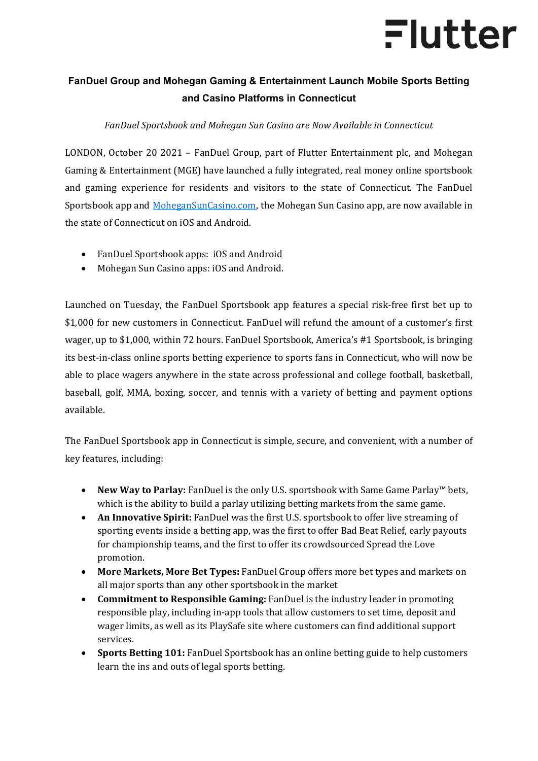# Flutter

### **FanDuel Group and Mohegan Gaming & Entertainment Launch Mobile Sports Betting and Casino Platforms in Connecticut**

### *FanDuel Sportsbook and Mohegan Sun Casino are Now Available in Connecticut*

LONDON, October 20 2021 – FanDuel Group, part of Flutter Entertainment plc, and Mohegan Gaming & Entertainment (MGE) have launched a fully integrated, real money online sportsbook and gaming experience for residents and visitors to the state of Connecticut. The FanDuel Sportsbook app and [MoheganSunCasino.com,](http://www.mohegansuncasino.com/) the Mohegan Sun Casino app, are now available in the state of Connecticut on iOS and Android.

- FanDuel Sportsbook apps[: iOS a](https://apps.apple.com/us/app/fanduel-sportsbook-casino/id1413721906)nd [Android](https://play.google.com/store/apps/details?id=com.fanduel.sportsbook&hl=en_US&gl=US)
- Mohegan Sun Casino apps: [iOS](https://apps.apple.com/us/app/mohegan-sun-ct-online-casino/id1576195494) and [Android.](https://ct.mohegansuncasino.com/casino-android)

Launched on Tuesday, the FanDuel Sportsbook app features a special risk-free first bet up to \$1,000 for new customers in Connecticut. FanDuel will refund the amount of a customer's first wager, up to \$1,000, within 72 hours. FanDuel Sportsbook, America's #1 Sportsbook, is bringing its best-in-class online sports betting experience to sports fans in Connecticut, who will now be able to place wagers anywhere in the state across professional and college football, basketball, baseball, golf, MMA, boxing, soccer, and tennis with a variety of betting and payment options available.

The FanDuel Sportsbook app in Connecticut is simple, secure, and convenient, with a number of key features, including:

- **New Way to Parlay:** FanDuel is the only U.S. sportsbook with Same Game Parlay™ bets, which is the ability to build a parlay utilizing betting markets from the same game.
- **An Innovative Spirit:** FanDuel was the first U.S. sportsbook to offer live streaming of sporting events inside a betting app, was the first to offer Bad Beat Relief, early payouts for championship teams, and the first to offer its crowdsourced Spread the Love promotion.
- **More Markets, More Bet Types:** FanDuel Group offers more bet types and markets on all major sports than any other sportsbook in the market
- **Commitment to Responsible Gaming:** FanDuel is the industry leader in promoting responsible play, including in-app tools that allow customers to set time, deposit and wager limits, as well as its [PlaySafe](http://www.fanduel.com/playsafe) site where customers can find additional support services.
- **Sports Betting 101:** FanDuel Sportsbook has a[n online betting guide t](https://www.fanduel.com/sports-betting-guide)o help customers learn the ins and outs of legal sports betting.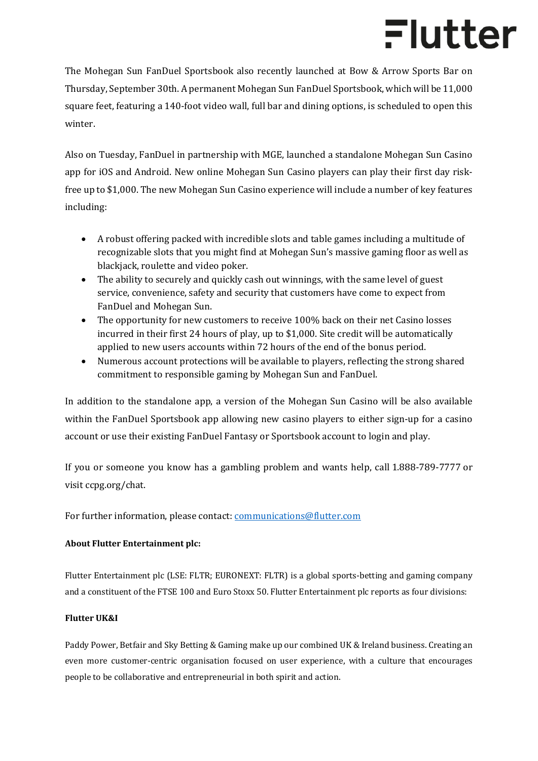# Flutter

The Mohegan Sun FanDuel Sportsbook also recently launched at Bow & Arrow Sports Bar on Thursday, September 30th. A permanent Mohegan Sun FanDuel Sportsbook, which will be 11,000 square feet, featuring a 140-foot video wall, full bar and dining options, is scheduled to open this winter.

Also on Tuesday, FanDuel in partnership with MGE, launched a standalone Mohegan Sun Casino app for iOS and Android. New online Mohegan Sun Casino players can play their first day riskfree up to \$1,000. The new Mohegan Sun Casino experience will include a number of key features including:

- A robust offering packed with incredible slots and table games including a multitude of recognizable slots that you might find at Mohegan Sun's massive gaming floor as well as blackjack, roulette and video poker.
- The ability to securely and quickly cash out winnings, with the same level of guest service, convenience, safety and security that customers have come to expect from FanDuel and Mohegan Sun.
- The opportunity for new customers to receive 100% back on their net Casino losses incurred in their first 24 hours of play, up to \$1,000. Site credit will be automatically applied to new users accounts within 72 hours of the end of the bonus period.
- Numerous account protections will be available to players, reflecting the strong shared commitment to responsible gaming by Mohegan Sun and FanDuel.

In addition to the standalone app, a version of the Mohegan Sun Casino will be also available within the FanDuel Sportsbook app allowing new casino players to either sign-up for a casino account or use their existing FanDuel Fantasy or Sportsbook account to login and play.

If you or someone you know has a gambling problem and wants help, call [1.888-789-7777](tel:8887897777) or visit [ccpg.org/chat.](http://ccpg.org/chat) 

For further information, please contact: [communications@flutter.com](mailto:communications@flutter.com)

### **About Flutter Entertainment plc:**

Flutter Entertainment plc (LSE: FLTR; EURONEXT: FLTR) is a global sports-betting and gaming company and a constituent of the FTSE 100 and Euro Stoxx 50. Flutter Entertainment plc reports as four divisions:

#### **Flutter UK&I**

Paddy Power, Betfair and Sky Betting & Gaming make up our combined UK & Ireland business. Creating an even more customer-centric organisation focused on user experience, with a culture that encourages people to be collaborative and entrepreneurial in both spirit and action.